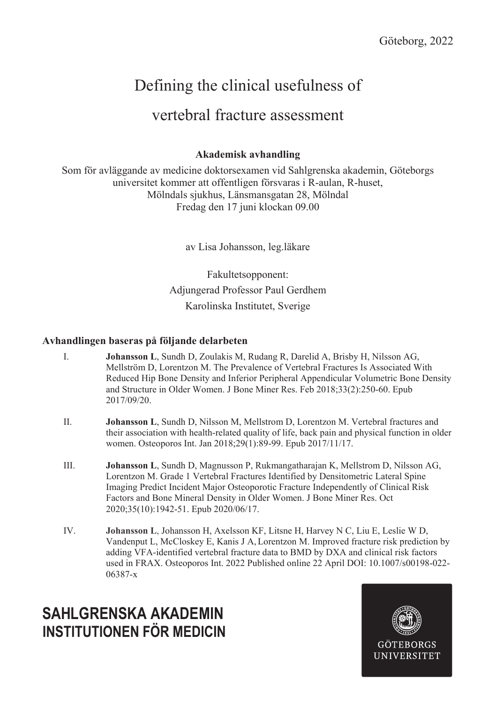## Defining the clinical usefulness of

### vertebral fracture assessment

### **Akademisk avhandling**

Som för avläggande av medicine doktorsexamen vid Sahlgrenska akademin, Göteborgs universitet kommer att offentligen försvaras i R-aulan, R-huset, Mölndals sjukhus, Länsmansgatan 28, Mölndal Fredag den 17 juni klockan 09.00

av Lisa Johansson, leg.läkare

Fakultetsopponent: Adjungerad Professor Paul Gerdhem Karolinska Institutet, Sverige

### **Avhandlingen baseras på följande delarbeten**

- I. **Johansson L**, Sundh D, Zoulakis M, Rudang R, Darelid A, Brisby H, Nilsson AG, Mellström D, Lorentzon M. The Prevalence of Vertebral Fractures Is Associated With Reduced Hip Bone Density and Inferior Peripheral Appendicular Volumetric Bone Density and Structure in Older Women. J Bone Miner Res. Feb 2018;33(2):250-60. Epub 2017/09/20.
- II. **Johansson L**, Sundh D, Nilsson M, Mellstrom D, Lorentzon M. Vertebral fractures and their association with health-related quality of life, back pain and physical function in older women. Osteoporos Int. Jan 2018;29(1):89-99. Epub 2017/11/17.
- III. **Johansson L**, Sundh D, Magnusson P, Rukmangatharajan K, Mellstrom D, Nilsson AG, Lorentzon M. Grade 1 Vertebral Fractures Identified by Densitometric Lateral Spine Imaging Predict Incident Major Osteoporotic Fracture Independently of Clinical Risk Factors and Bone Mineral Density in Older Women. J Bone Miner Res. Oct 2020;35(10):1942-51. Epub 2020/06/17.
- IV. **Johansson L**, Johansson H, Axelsson KF, Litsne H, Harvey N C, Liu E, Leslie W D, Vandenput L, McCloskey E, Kanis J A, Lorentzon M. Improved fracture risk prediction by adding VFA-identified vertebral fracture data to BMD by DXA and clinical risk factors used in FRAX. Osteoporos Int. 2022 Published online 22 April DOI: 10.1007/s00198-022- 06387-x

# **SAHLGRENSKA AKADEMIN INSTITUTIONEN FÖR MEDICIN**